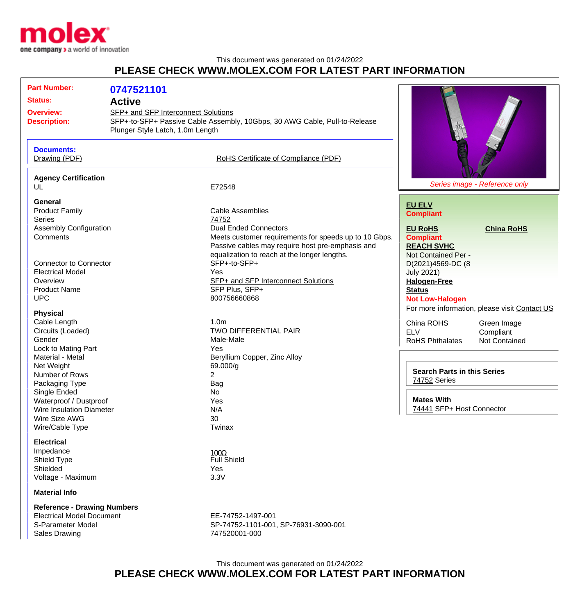

## This document was generated on 01/24/2022 **PLEASE CHECK WWW.MOLEX.COM FOR LATEST PART INFORMATION**

| <b>Part Number:</b><br><b>Status:</b><br><b>Overview:</b><br><b>Description:</b><br><b>Documents:</b><br>Drawing (PDF) | 0747521101<br><b>Active</b><br>SFP+ and SFP Interconnect Solutions<br>Plunger Style Latch, 1.0m Length | SFP+-to-SFP+ Passive Cable Assembly, 10Gbps, 30 AWG Cable, Pull-to-Release<br>RoHS Certificate of Compliance (PDF)                                                                        |                                                                                                          |                                                                                                   |
|------------------------------------------------------------------------------------------------------------------------|--------------------------------------------------------------------------------------------------------|-------------------------------------------------------------------------------------------------------------------------------------------------------------------------------------------|----------------------------------------------------------------------------------------------------------|---------------------------------------------------------------------------------------------------|
| <b>Agency Certification</b><br>UL                                                                                      |                                                                                                        | E72548                                                                                                                                                                                    |                                                                                                          | Series image - Reference only                                                                     |
| General<br><b>Product Family</b><br><b>Series</b>                                                                      |                                                                                                        | <b>Cable Assemblies</b><br>74752                                                                                                                                                          | <b>EU ELV</b><br><b>Compliant</b>                                                                        |                                                                                                   |
| <b>Assembly Configuration</b><br>Comments                                                                              |                                                                                                        | <b>Dual Ended Connectors</b><br>Meets customer requirements for speeds up to 10 Gbps.<br>Passive cables may require host pre-emphasis and<br>equalization to reach at the longer lengths. | <b>EU RoHS</b><br><b>Compliant</b><br><b>REACH SVHC</b><br>Not Contained Per -                           | <b>China RoHS</b>                                                                                 |
| <b>Connector to Connector</b><br><b>Electrical Model</b><br>Overview<br><b>Product Name</b><br><b>UPC</b>              |                                                                                                        | SFP+-to-SFP+<br>Yes<br>SFP+ and SFP Interconnect Solutions<br>SFP Plus, SFP+<br>800756660868                                                                                              | D(2021)4569-DC (8<br><b>July 2021)</b><br><b>Halogen-Free</b><br><b>Status</b><br><b>Not Low-Halogen</b> |                                                                                                   |
| <b>Physical</b><br>Cable Length<br>Circuits (Loaded)<br>Gender<br>Lock to Mating Part                                  |                                                                                                        | 1.0 <sub>m</sub><br><b>TWO DIFFERENTIAL PAIR</b><br>Male-Male<br>Yes                                                                                                                      | China ROHS<br><b>ELV</b><br><b>RoHS Phthalates</b>                                                       | For more information, please visit Contact US<br>Green Image<br>Compliant<br><b>Not Contained</b> |
| Material - Metal<br>Net Weight<br>Number of Rows<br>Packaging Type<br>Single Ended                                     |                                                                                                        | Beryllium Copper, Zinc Alloy<br>69.000/g<br>$\overline{2}$<br><b>Bag</b><br>No                                                                                                            | <b>Search Parts in this Series</b><br>74752 Series                                                       |                                                                                                   |
| Waterproof / Dustproof<br><b>Wire Insulation Diameter</b><br>Wire Size AWG<br>Wire/Cable Type                          |                                                                                                        | Yes<br>N/A<br>30<br>Twinax                                                                                                                                                                | <b>Mates With</b><br>74441 SFP+ Host Connector                                                           |                                                                                                   |
| <b>Electrical</b><br>Impedance<br>Shield Type<br>Shielded<br>Voltage - Maximum                                         |                                                                                                        | $100\Omega$<br><b>Full Shield</b><br>Yes<br>3.3V                                                                                                                                          |                                                                                                          |                                                                                                   |
| <b>Material Info</b>                                                                                                   |                                                                                                        |                                                                                                                                                                                           |                                                                                                          |                                                                                                   |
| <b>Reference - Drawing Numbers</b><br><b>Electrical Model Document</b><br>S-Parameter Model<br><b>Sales Drawing</b>    |                                                                                                        | EE-74752-1497-001<br>SP-74752-1101-001, SP-76931-3090-001<br>747520001-000                                                                                                                |                                                                                                          |                                                                                                   |